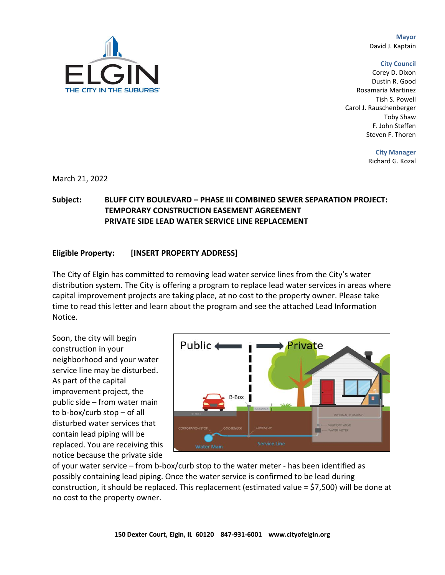**Mayor** David J. Kaptain

#### **City Council**

Corey D. Dixon Dustin R. Good Rosamaria Martinez Tish S. Powell Carol J. Rauschenberger Toby Shaw F. John Steffen Steven F. Thoren

**City Manager**

Richard G. Kozal

March 21, 2022

# **Subject: BLUFF CITY BOULEVARD – PHASE III COMBINED SEWER SEPARATION PROJECT: TEMPORARY CONSTRUCTION EASEMENT AGREEMENT PRIVATE SIDE LEAD WATER SERVICE LINE REPLACEMENT**

### **Eligible Property: [INSERT PROPERTY ADDRESS]**

The City of Elgin has committed to removing lead water service lines from the City's water distribution system. The City is offering a program to replace lead water services in areas where capital improvement projects are taking place, at no cost to the property owner. Please take time to read this letter and learn about the program and see the attached Lead Information Notice.

Soon, the city will begin construction in your neighborhood and your water service line may be disturbed. As part of the capital improvement project, the public side – from water main to b-box/curb stop – of all disturbed water services that contain lead piping will be replaced. You are receiving this notice because the private side



of your water service – from b-box/curb stop to the water meter - has been identified as possibly containing lead piping. Once the water service is confirmed to be lead during construction, it should be replaced. This replacement (estimated value = \$7,500) will be done at no cost to the property owner.

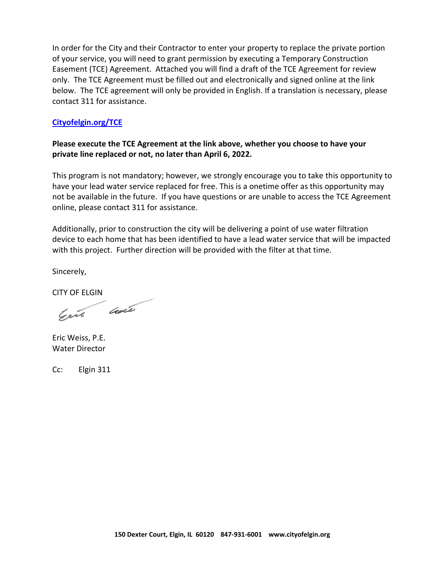In order for the City and their Contractor to enter your property to replace the private portion of your service, you will need to grant permission by executing a Temporary Construction Easement (TCE) Agreement. Attached you will find a draft of the TCE Agreement for review only. The TCE Agreement must be filled out and electronically and signed online at the link below. The TCE agreement will only be provided in English. If a translation is necessary, please contact 311 for assistance.

### **Cityofelgin.org/TCE**

# **Please execute the TCE Agreement at the link above, whether you choose to have your private line replaced or not, no later than April 6, 2022.**

This program is not mandatory; however, we strongly encourage you to take this opportunity to have your lead water service replaced for free. This is a onetime offer as this opportunity may not be available in the future. If you have questions or are unable to access the TCE Agreement online, please contact 311 for assistance.

Additionally, prior to construction the city will be delivering a point of use water filtration device to each home that has been identified to have a lead water service that will be impacted with this project. Further direction will be provided with the filter at that time.

Sincerely,

CITY OF ELGIN

Gril care

Eric Weiss, P.E. Water Director

Cc: Elgin 311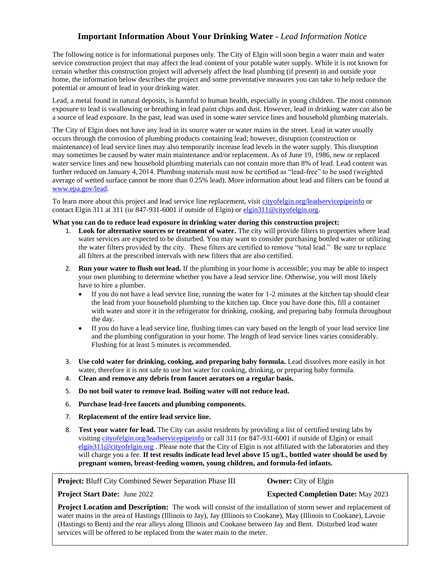## **Important Information About Your Drinking Water -** *Lead Information Notice*

The following notice is for informational purposes only. The City of Elgin will soon begin a water main and water service construction project that may affect the lead content of your potable water supply. While it is not known for certain whether this construction project will adversely affect the lead plumbing (if present) in and outside your home, the information below describes the project and some preventative measures you can take to help reduce the potential or amount of lead in your drinking water.

Lead, a metal found in natural deposits, is harmful to human health, especially in young children. The most common exposure to lead is swallowing or breathing in lead paint chips and dust. However, lead in drinking water can also be a source of lead exposure. In the past, lead was used in some water service lines and household plumbing materials.

The City of Elgin does not have any lead in its source water or water mains in the street. Lead in water usually occurs through the corrosion of plumbing products containing lead; however, disruption (construction or maintenance) of lead service lines may also temporarily increase lead levels in the water supply. This disruption may sometimes be caused by water main maintenance and/or replacement. As of June 19, 1986, new or replaced water service lines and new household plumbing materials can not contain more than 8% of lead. Lead content was further reduced on January 4, 2014. Plumbing materials must now be certified as "lead-free" to be used (weighted average of wetted surface cannot be more than 0.25% lead). More information about lead and filters can be found at [www.epa.gov/lead.](http://www.epa.gov/lead)

To learn more about this project and lead service line replacement, visit cityofelgin.org/leadservicepipeinfo or contact Elgin 311 at 311 (or 847-931-6001 if outside of Elgin) o[r elgin311@cityofelgin.org.](mailto:elgin311@cityofelgin.org)

### **What you can do to reduce lead exposure in drinking water during this construction project:**

- 1. **Look for alternative sources or treatment of water.** The city will provide filters to properties where lead water services are expected to be disturbed. You may want to consider purchasing bottled water or utilizing the water filters provided by the city. These filters are certified to remove "total lead." Be sure to replace all filters at the prescribed intervals with new filters that are also certified.
- 2. **Run your water to flush out lead.** If the plumbing in your home is accessible; you may be able to inspect your own plumbing to determine whether you have a lead service line. Otherwise, you will most likely have to hire a plumber.
	- If you do not have a lead service line, running the water for 1-2 minutes at the kitchen tap should clear the lead from your household plumbing to the kitchen tap. Once you have done this, fill a container with water and store it in the refrigerator for drinking, cooking, and preparing baby formula throughout the day.
	- If you do have a lead service line, flushing times can vary based on the length of your lead service line and the plumbing configuration in your home. The length of lead service lines varies considerably. Flushing for at least 5 minutes is recommended.
- 3. **Use cold water for drinking, cooking, and preparing baby formula.** Lead dissolves more easily in hot water, therefore it is not safe to use hot water for cooking, drinking, or preparing baby formula.
- 4. **Clean and remove any debris from faucet aerators on a regular basis.**
- 5. **Do not boil water to remove lead. Boiling water will not reduce lead.**
- 6. **Purchase lead-free faucets and plumbing components.**
- 7. **Replacement of the entire lead service line.**
- 8. **Test your water for lead.** The City can assist residents by providing a list of certified testing labs by visiting [cityofelgin.org/leadservicepipeinfo](http://cityofelgin.org/leadservicepipeinfo) or call 311 (or 847-931-6001 if outside of Elgin) or email [elgin311@cityofelgin.org](mailto:elgin311@cityofelgin.org) . Please note that the City of Elgin is not affiliated with the laboratories and they will charge you a fee. **If test results indicate lead level above 15 ug/L, bottled water should be used by pregnant women, breast-feeding women, young children, and formula-fed infants.**

### **Project:** Bluff City Combined Sewer Separation Phase III **Owner:** City of Elgin

#### **Project Start Date:** June 2022 **Expected Completion Date:** May 2023

**Project Location and Description:** The work will consist of the installation of storm sewer and replacement of water mains in the area of Hastings (Illinois to Jay), Jay (Illinois to Cookane), May (Illinois to Cookane), Lavoie (Hastings to Bent) and the rear alleys along Illinois and Cookane between Jay and Bent. Disturbed lead water services will be offered to be replaced from the water main to the meter.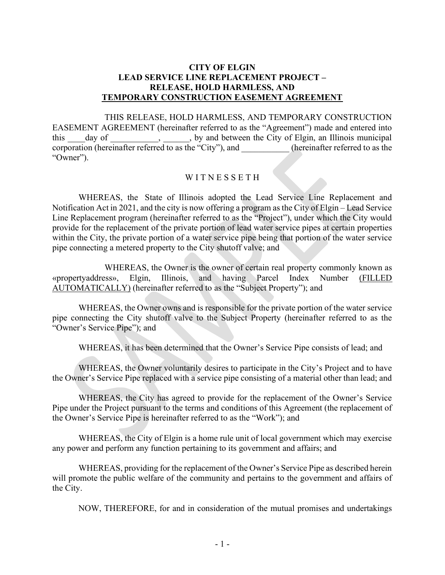## CITY OF ELGIN LEAD SERVICE LINE REPLACEMENT PROJECT – RELEASE, HOLD HARMLESS, AND TEMPORARY CONSTRUCTION EASEMENT AGREEMENT

THIS RELEASE, HOLD HARMLESS, AND TEMPORARY CONSTRUCTION EASEMENT AGREEMENT (hereinafter referred to as the "Agreement") made and entered into this day of , by and between the City of Elgin, an Illinois municipal corporation (hereinafter referred to as the "City"), and (hereinafter referred to as the "Owner").

## WITNESSETH

WHEREAS, the State of Illinois adopted the Lead Service Line Replacement and Notification Act in 2021, and the city is now offering a program as the City of Elgin – Lead Service Line Replacement program (hereinafter referred to as the "Project"), under which the City would provide for the replacement of the private portion of lead water service pipes at certain properties within the City, the private portion of a water service pipe being that portion of the water service pipe connecting a metered property to the City shutoff valve; and

WHEREAS, the Owner is the owner of certain real property commonly known as «propertyaddress», Elgin, Illinois, and having Parcel Index Number (FILLED AUTOMATICALLY) (hereinafter referred to as the "Subject Property"); and

WHEREAS, the Owner owns and is responsible for the private portion of the water service pipe connecting the City shutoff valve to the Subject Property (hereinafter referred to as the "Owner's Service Pipe"); and

WHEREAS, it has been determined that the Owner's Service Pipe consists of lead; and

WHEREAS, the Owner voluntarily desires to participate in the City's Project and to have the Owner's Service Pipe replaced with a service pipe consisting of a material other than lead; and

WHEREAS, the City has agreed to provide for the replacement of the Owner's Service Pipe under the Project pursuant to the terms and conditions of this Agreement (the replacement of the Owner's Service Pipe is hereinafter referred to as the "Work"); and

WHEREAS, the City of Elgin is a home rule unit of local government which may exercise any power and perform any function pertaining to its government and affairs; and

WHEREAS, providing for the replacement of the Owner's Service Pipe as described herein will promote the public welfare of the community and pertains to the government and affairs of the City.

NOW, THEREFORE, for and in consideration of the mutual promises and undertakings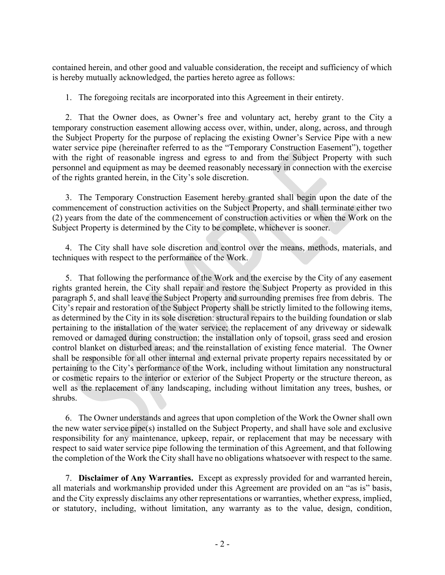contained herein, and other good and valuable consideration, the receipt and sufficiency of which is hereby mutually acknowledged, the parties hereto agree as follows:

1. The foregoing recitals are incorporated into this Agreement in their entirety.

2. That the Owner does, as Owner's free and voluntary act, hereby grant to the City a temporary construction easement allowing access over, within, under, along, across, and through the Subject Property for the purpose of replacing the existing Owner's Service Pipe with a new water service pipe (hereinafter referred to as the "Temporary Construction Easement"), together with the right of reasonable ingress and egress to and from the Subject Property with such personnel and equipment as may be deemed reasonably necessary in connection with the exercise of the rights granted herein, in the City's sole discretion.

3. The Temporary Construction Easement hereby granted shall begin upon the date of the commencement of construction activities on the Subject Property, and shall terminate either two (2) years from the date of the commencement of construction activities or when the Work on the Subject Property is determined by the City to be complete, whichever is sooner.

4. The City shall have sole discretion and control over the means, methods, materials, and techniques with respect to the performance of the Work.

5. That following the performance of the Work and the exercise by the City of any easement rights granted herein, the City shall repair and restore the Subject Property as provided in this paragraph 5, and shall leave the Subject Property and surrounding premises free from debris. The City's repair and restoration of the Subject Property shall be strictly limited to the following items, as determined by the City in its sole discretion: structural repairs to the building foundation or slab pertaining to the installation of the water service; the replacement of any driveway or sidewalk removed or damaged during construction; the installation only of topsoil, grass seed and erosion control blanket on disturbed areas; and the reinstallation of existing fence material. The Owner shall be responsible for all other internal and external private property repairs necessitated by or pertaining to the City's performance of the Work, including without limitation any nonstructural or cosmetic repairs to the interior or exterior of the Subject Property or the structure thereon, as well as the replacement of any landscaping, including without limitation any trees, bushes, or shrubs.

6. The Owner understands and agrees that upon completion of the Work the Owner shall own the new water service pipe(s) installed on the Subject Property, and shall have sole and exclusive responsibility for any maintenance, upkeep, repair, or replacement that may be necessary with respect to said water service pipe following the termination of this Agreement, and that following the completion of the Work the City shall have no obligations whatsoever with respect to the same.

7. Disclaimer of Any Warranties. Except as expressly provided for and warranted herein, all materials and workmanship provided under this Agreement are provided on an "as is" basis, and the City expressly disclaims any other representations or warranties, whether express, implied, or statutory, including, without limitation, any warranty as to the value, design, condition,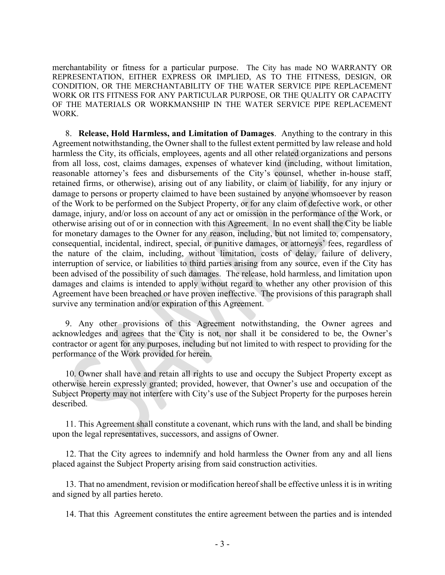merchantability or fitness for a particular purpose. The City has made NO WARRANTY OR REPRESENTATION, EITHER EXPRESS OR IMPLIED, AS TO THE FITNESS, DESIGN, OR CONDITION, OR THE MERCHANTABILITY OF THE WATER SERVICE PIPE REPLACEMENT WORK OR ITS FITNESS FOR ANY PARTICULAR PURPOSE, OR THE QUALITY OR CAPACITY OF THE MATERIALS OR WORKMANSHIP IN THE WATER SERVICE PIPE REPLACEMENT WORK.

8. Release, Hold Harmless, and Limitation of Damages. Anything to the contrary in this Agreement notwithstanding, the Owner shall to the fullest extent permitted by law release and hold harmless the City, its officials, employees, agents and all other related organizations and persons from all loss, cost, claims damages, expenses of whatever kind (including, without limitation, reasonable attorney's fees and disbursements of the City's counsel, whether in-house staff, retained firms, or otherwise), arising out of any liability, or claim of liability, for any injury or damage to persons or property claimed to have been sustained by anyone whomsoever by reason of the Work to be performed on the Subject Property, or for any claim of defective work, or other damage, injury, and/or loss on account of any act or omission in the performance of the Work, or otherwise arising out of or in connection with this Agreement. In no event shall the City be liable for monetary damages to the Owner for any reason, including, but not limited to, compensatory, consequential, incidental, indirect, special, or punitive damages, or attorneys' fees, regardless of the nature of the claim, including, without limitation, costs of delay, failure of delivery, interruption of service, or liabilities to third parties arising from any source, even if the City has been advised of the possibility of such damages. The release, hold harmless, and limitation upon damages and claims is intended to apply without regard to whether any other provision of this Agreement have been breached or have proven ineffective. The provisions of this paragraph shall survive any termination and/or expiration of this Agreement.

9. Any other provisions of this Agreement notwithstanding, the Owner agrees and acknowledges and agrees that the City is not, nor shall it be considered to be, the Owner's contractor or agent for any purposes, including but not limited to with respect to providing for the performance of the Work provided for herein.

10. Owner shall have and retain all rights to use and occupy the Subject Property except as otherwise herein expressly granted; provided, however, that Owner's use and occupation of the Subject Property may not interfere with City's use of the Subject Property for the purposes herein described.

11. This Agreement shall constitute a covenant, which runs with the land, and shall be binding upon the legal representatives, successors, and assigns of Owner.

12. That the City agrees to indemnify and hold harmless the Owner from any and all liens placed against the Subject Property arising from said construction activities.

13. That no amendment, revision or modification hereof shall be effective unless it is in writing and signed by all parties hereto.

14. That this Agreement constitutes the entire agreement between the parties and is intended